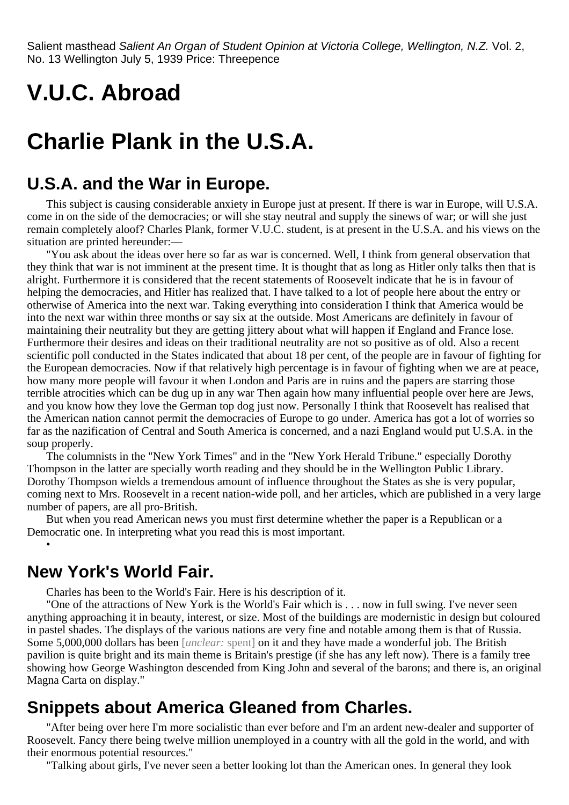Salient masthead Salient An Organ of Student Opinion at Victoria College, Wellington, N.Z. Vol. 2, No. 13 Wellington July 5, 1939 Price: Threepence

# **V.U.C. Abroad**

# **Charlie Plank in the U.S.A.**

### **U.S.A. and the War in Europe.**

This subject is causing considerable anxiety in Europe just at present. If there is war in Europe, will U.S.A. come in on the side of the democracies; or will she stay neutral and supply the sinews of war; or will she just remain completely aloof? Charles Plank, former V.U.C. student, is at present in the U.S.A. and his views on the situation are printed hereunder:—

"You ask about the ideas over here so far as war is concerned. Well, I think from general observation that they think that war is not imminent at the present time. It is thought that as long as Hitler only talks then that is alright. Furthermore it is considered that the recent statements of Roosevelt indicate that he is in favour of helping the democracies, and Hitler has realized that. I have talked to a lot of people here about the entry or otherwise of America into the next war. Taking everything into consideration I think that America would be into the next war within three months or say six at the outside. Most Americans are definitely in favour of maintaining their neutrality but they are getting jittery about what will happen if England and France lose. Furthermore their desires and ideas on their traditional neutrality are not so positive as of old. Also a recent scientific poll conducted in the States indicated that about 18 per cent, of the people are in favour of fighting for the European democracies. Now if that relatively high percentage is in favour of fighting when we are at peace, how many more people will favour it when London and Paris are in ruins and the papers are starring those terrible atrocities which can be dug up in any war Then again how many influential people over here are Jews, and you know how they love the German top dog just now. Personally I think that Roosevelt has realised that the American nation cannot permit the democracies of Europe to go under. America has got a lot of worries so far as the nazification of Central and South America is concerned, and a nazi England would put U.S.A. in the soup properly.

The columnists in the "New York Times" and in the "New York Herald Tribune." especially Dorothy Thompson in the latter are specially worth reading and they should be in the Wellington Public Library. Dorothy Thompson wields a tremendous amount of influence throughout the States as she is very popular, coming next to Mrs. Roosevelt in a recent nation-wide poll, and her articles, which are published in a very large number of papers, are all pro-British.

But when you read American news you must first determine whether the paper is a Republican or a Democratic one. In interpreting what you read this is most important.

### **New York's World Fair.**

•

Charles has been to the World's Fair. Here is his description of it.

"One of the attractions of New York is the World's Fair which is . . . now in full swing. I've never seen anything approaching it in beauty, interest, or size. Most of the buildings are modernistic in design but coloured in pastel shades. The displays of the various nations are very fine and notable among them is that of Russia. Some 5,000,000 dollars has been [*unclear:* spent] on it and they have made a wonderful job. The British pavilion is quite bright and its main theme is Britain's prestige (if she has any left now). There is a family tree showing how George Washington descended from King John and several of the barons; and there is, an original Magna Carta on display."

### **Snippets about America Gleaned from Charles.**

"After being over here I'm more socialistic than ever before and I'm an ardent new-dealer and supporter of Roosevelt. Fancy there being twelve million unemployed in a country with all the gold in the world, and with their enormous potential resources."

"Talking about girls, I've never seen a better looking lot than the American ones. In general they look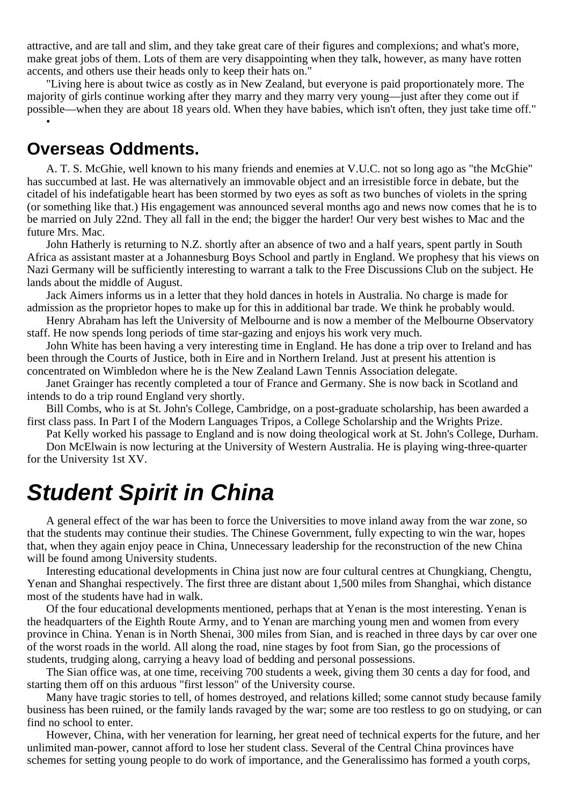attractive, and are tall and slim, and they take great care of their figures and complexions; and what's more, make great jobs of them. Lots of them are very disappointing when they talk, however, as many have rotten accents, and others use their heads only to keep their hats on."

"Living here is about twice as costly as in New Zealand, but everyone is paid proportionately more. The majority of girls continue working after they marry and they marry very young—just after they come out if possible—when they are about 18 years old. When they have babies, which isn't often, they just take time off." •

#### **Overseas Oddments.**

A. T. S. McGhie, well known to his many friends and enemies at V.U.C. not so long ago as "the McGhie" has succumbed at last. He was alternatively an immovable object and an irresistible force in debate, but the citadel of his indefatigable heart has been stormed by two eyes as soft as two bunches of violets in the spring (or something like that.) His engagement was announced several months ago and news now comes that he is to be married on July 22nd. They all fall in the end; the bigger the harder! Our very best wishes to Mac and the future Mrs. Mac.

John Hatherly is returning to N.Z. shortly after an absence of two and a half years, spent partly in South Africa as assistant master at a Johannesburg Boys School and partly in England. We prophesy that his views on Nazi Germany will be sufficiently interesting to warrant a talk to the Free Discussions Club on the subject. He lands about the middle of August.

Jack Aimers informs us in a letter that they hold dances in hotels in Australia. No charge is made for admission as the proprietor hopes to make up for this in additional bar trade. We think he probably would.

Henry Abraham has left the University of Melbourne and is now a member of the Melbourne Observatory staff. He now spends long periods of time star-gazing and enjoys his work very much.

John White has been having a very interesting time in England. He has done a trip over to Ireland and has been through the Courts of Justice, both in Eire and in Northern Ireland. Just at present his attention is concentrated on Wimbledon where he is the New Zealand Lawn Tennis Association delegate.

Janet Grainger has recently completed a tour of France and Germany. She is now back in Scotland and intends to do a trip round England very shortly.

Bill Combs, who is at St. John's College, Cambridge, on a post-graduate scholarship, has been awarded a first class pass. In Part I of the Modern Languages Tripos, a College Scholarship and the Wrights Prize.

Pat Kelly worked his passage to England and is now doing theological work at St. John's College, Durham.

Don McElwain is now lecturing at the University of Western Australia. He is playing wing-three-quarter for the University 1st XV.

# **Student Spirit in China**

A general effect of the war has been to force the Universities to move inland away from the war zone, so that the students may continue their studies. The Chinese Government, fully expecting to win the war, hopes that, when they again enjoy peace in China, Unnecessary leadership for the reconstruction of the new China will be found among University students.

Interesting educational developments in China just now are four cultural centres at Chungkiang, Chengtu, Yenan and Shanghai respectively. The first three are distant about 1,500 miles from Shanghai, which distance most of the students have had in walk.

Of the four educational developments mentioned, perhaps that at Yenan is the most interesting. Yenan is the headquarters of the Eighth Route Army, and to Yenan are marching young men and women from every province in China. Yenan is in North Shenai, 300 miles from Sian, and is reached in three days by car over one of the worst roads in the world. All along the road, nine stages by foot from Sian, go the processions of students, trudging along, carrying a heavy load of bedding and personal possessions.

The Sian office was, at one time, receiving 700 students a week, giving them 30 cents a day for food, and starting them off on this arduous "first lesson" of the University course.

Many have tragic stories to tell, of homes destroyed, and relations killed; some cannot study because family business has been ruined, or the family lands ravaged by the war; some are too restless to go on studying, or can find no school to enter.

However, China, with her veneration for learning, her great need of technical experts for the future, and her unlimited man-power, cannot afford to lose her student class. Several of the Central China provinces have schemes for setting young people to do work of importance, and the Generalissimo has formed a youth corps,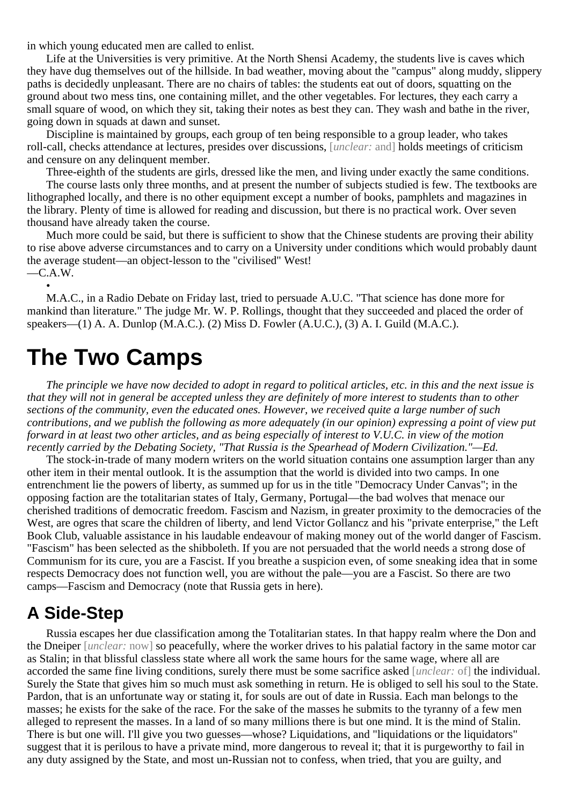in which young educated men are called to enlist.

Life at the Universities is very primitive. At the North Shensi Academy, the students live is caves which they have dug themselves out of the hillside. In bad weather, moving about the "campus" along muddy, slippery paths is decidedly unpleasant. There are no chairs of tables: the students eat out of doors, squatting on the ground about two mess tins, one containing millet, and the other vegetables. For lectures, they each carry a small square of wood, on which they sit, taking their notes as best they can. They wash and bathe in the river, going down in squads at dawn and sunset.

Discipline is maintained by groups, each group of ten being responsible to a group leader, who takes roll-call, checks attendance at lectures, presides over discussions, [*unclear:* and] holds meetings of criticism and censure on any delinquent member.

Three-eighth of the students are girls, dressed like the men, and living under exactly the same conditions. The course lasts only three months, and at present the number of subjects studied is few. The textbooks are lithographed locally, and there is no other equipment except a number of books, pamphlets and magazines in the library. Plenty of time is allowed for reading and discussion, but there is no practical work. Over seven thousand have already taken the course.

Much more could be said, but there is sufficient to show that the Chinese students are proving their ability to rise above adverse circumstances and to carry on a University under conditions which would probably daunt the average student—an object-lesson to the "civilised" West!  $-C.A.W.$ 

•

M.A.C., in a Radio Debate on Friday last, tried to persuade A.U.C. "That science has done more for mankind than literature." The judge Mr. W. P. Rollings, thought that they succeeded and placed the order of speakers—(1) A. A. Dunlop (M.A.C.). (2) Miss D. Fowler (A.U.C.), (3) A. I. Guild (M.A.C.).

# **The Two Camps**

*The principle we have now decided to adopt in regard to political articles, etc. in this and the next issue is that they will not in general be accepted unless they are definitely of more interest to students than to other sections of the community, even the educated ones. However, we received quite a large number of such contributions, and we publish the following as more adequately (in our opinion) expressing a point of view put forward in at least two other articles, and as being especially of interest to V.U.C. in view of the motion recently carried by the Debating Society, "That Russia is the Spearhead of Modern Civilization."—Ed.*

The stock-in-trade of many modern writers on the world situation contains one assumption larger than any other item in their mental outlook. It is the assumption that the world is divided into two camps. In one entrenchment lie the powers of liberty, as summed up for us in the title "Democracy Under Canvas"; in the opposing faction are the totalitarian states of Italy, Germany, Portugal—the bad wolves that menace our cherished traditions of democratic freedom. Fascism and Nazism, in greater proximity to the democracies of the West, are ogres that scare the children of liberty, and lend Victor Gollancz and his "private enterprise," the Left Book Club, valuable assistance in his laudable endeavour of making money out of the world danger of Fascism. "Fascism" has been selected as the shibboleth. If you are not persuaded that the world needs a strong dose of Communism for its cure, you are a Fascist. If you breathe a suspicion even, of some sneaking idea that in some respects Democracy does not function well, you are without the pale—you are a Fascist. So there are two camps—Fascism and Democracy (note that Russia gets in here).

### **A Side-Step**

Russia escapes her due classification among the Totalitarian states. In that happy realm where the Don and the Dneiper [*unclear:* now] so peacefully, where the worker drives to his palatial factory in the same motor car as Stalin; in that blissful classless state where all work the same hours for the same wage, where all are accorded the same fine living conditions, surely there must be some sacrifice asked [*unclear:* of] the individual. Surely the State that gives him so much must ask something in return. He is obliged to sell his soul to the State. Pardon, that is an unfortunate way or stating it, for souls are out of date in Russia. Each man belongs to the masses; he exists for the sake of the race. For the sake of the masses he submits to the tyranny of a few men alleged to represent the masses. In a land of so many millions there is but one mind. It is the mind of Stalin. There is but one will. I'll give you two guesses—whose? Liquidations, and "liquidations or the liquidators" suggest that it is perilous to have a private mind, more dangerous to reveal it; that it is purgeworthy to fail in any duty assigned by the State, and most un-Russian not to confess, when tried, that you are guilty, and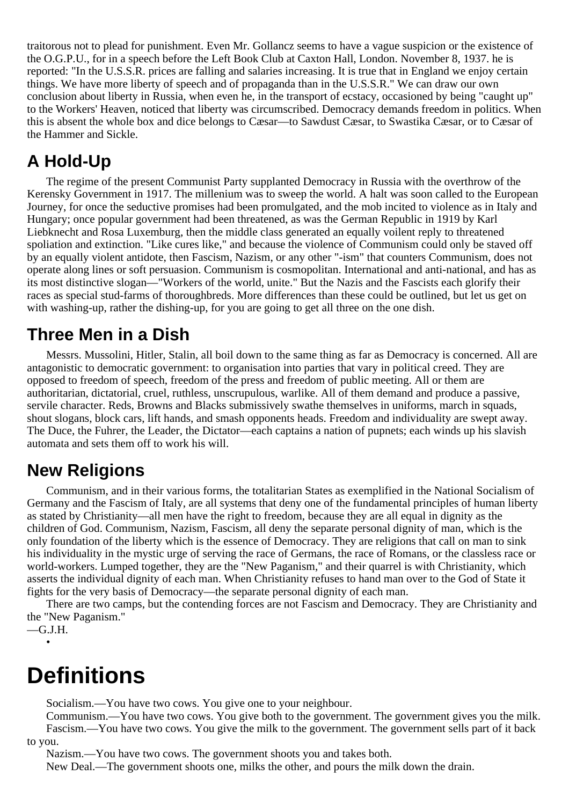traitorous not to plead for punishment. Even Mr. Gollancz seems to have a vague suspicion or the existence of the O.G.P.U., for in a speech before the Left Book Club at Caxton Hall, London. November 8, 1937. he is reported: "In the U.S.S.R. prices are falling and salaries increasing. It is true that in England we enjoy certain things. We have more liberty of speech and of propaganda than in the U.S.S.R." We can draw our own conclusion about liberty in Russia, when even he, in the transport of ecstacy, occasioned by being "caught up" to the Workers' Heaven, noticed that liberty was circumscribed. Democracy demands freedom in politics. When this is absent the whole box and dice belongs to Cæsar—to Sawdust Cæsar, to Swastika Cæsar, or to Cæsar of the Hammer and Sickle.

## **A Hold-Up**

The regime of the present Communist Party supplanted Democracy in Russia with the overthrow of the Kerensky Government in 1917. The millenium was to sweep the world. A halt was soon called to the European Journey, for once the seductive promises had been promulgated, and the mob incited to violence as in Italy and Hungary; once popular government had been threatened, as was the German Republic in 1919 by Karl Liebknecht and Rosa Luxemburg, then the middle class generated an equally voilent reply to threatened spoliation and extinction. "Like cures like," and because the violence of Communism could only be staved off by an equally violent antidote, then Fascism, Nazism, or any other "-ism" that counters Communism, does not operate along lines or soft persuasion. Communism is cosmopolitan. International and anti-national, and has as its most distinctive slogan—"Workers of the world, unite." But the Nazis and the Fascists each glorify their races as special stud-farms of thoroughbreds. More differences than these could be outlined, but let us get on with washing-up, rather the dishing-up, for you are going to get all three on the one dish.

## **Three Men in a Dish**

Messrs. Mussolini, Hitler, Stalin, all boil down to the same thing as far as Democracy is concerned. All are antagonistic to democratic government: to organisation into parties that vary in political creed. They are opposed to freedom of speech, freedom of the press and freedom of public meeting. All or them are authoritarian, dictatorial, cruel, ruthless, unscrupulous, warlike. All of them demand and produce a passive, servile character. Reds, Browns and Blacks submissively swathe themselves in uniforms, march in squads, shout slogans, block cars, lift hands, and smash opponents heads. Freedom and individuality are swept away. The Duce, the Fuhrer, the Leader, the Dictator—each captains a nation of pupnets; each winds up his slavish automata and sets them off to work his will.

## **New Religions**

Communism, and in their various forms, the totalitarian States as exemplified in the National Socialism of Germany and the Fascism of Italy, are all systems that deny one of the fundamental principles of human liberty as stated by Christianity—all men have the right to freedom, because they are all equal in dignity as the children of God. Communism, Nazism, Fascism, all deny the separate personal dignity of man, which is the only foundation of the liberty which is the essence of Democracy. They are religions that call on man to sink his individuality in the mystic urge of serving the race of Germans, the race of Romans, or the classless race or world-workers. Lumped together, they are the "New Paganism," and their quarrel is with Christianity, which asserts the individual dignity of each man. When Christianity refuses to hand man over to the God of State it fights for the very basis of Democracy—the separate personal dignity of each man.

There are two camps, but the contending forces are not Fascism and Democracy. They are Christianity and the "New Paganism."

```
—G.J.H.
•
```
# **Definitions**

Socialism.—You have two cows. You give one to your neighbour.

Communism.—You have two cows. You give both to the government. The government gives you the milk. Fascism.—You have two cows. You give the milk to the government. The government sells part of it back to you.

Nazism.—You have two cows. The government shoots you and takes both.

New Deal.—The government shoots one, milks the other, and pours the milk down the drain.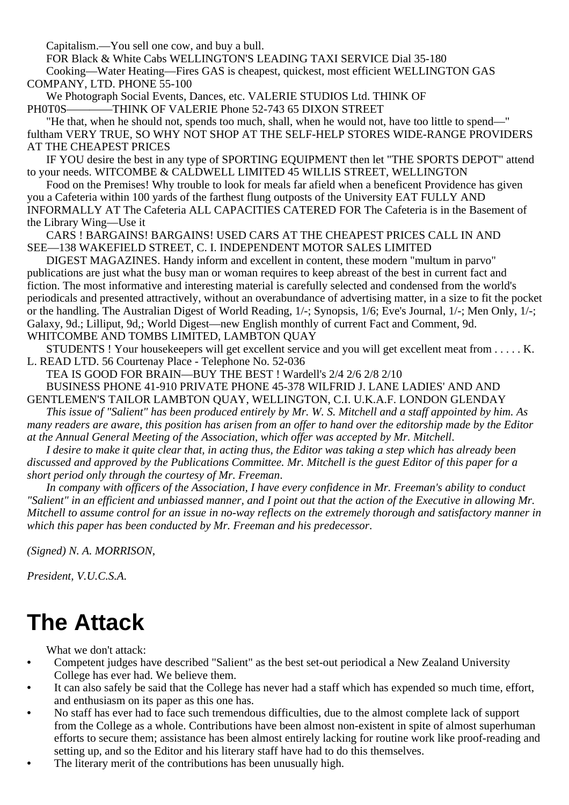Capitalism.—You sell one cow, and buy a bull.

FOR Black & White Cabs WELLINGTON'S LEADING TAXI SERVICE Dial 35-180 Cooking—Water Heating—Fires GAS is cheapest, quickest, most efficient WELLINGTON GAS COMPANY, LTD. PHONE 55-100

We Photograph Social Events, Dances, etc. VALERIE STUDIOS Ltd. THINK OF PH0T0S————THINK OF VALERIE Phone 52-743 65 DIXON STREET

"He that, when he should not, spends too much, shall, when he would not, have too little to spend—" fultham VERY TRUE, SO WHY NOT SHOP AT THE SELF-HELP STORES WIDE-RANGE PROVIDERS AT THE CHEAPEST PRICES

IF YOU desire the best in any type of SPORTING EQUIPMENT then let "THE SPORTS DEPOT" attend to your needs. WITCOMBE & CALDWELL LIMITED 45 WILLIS STREET, WELLINGTON

Food on the Premises! Why trouble to look for meals far afield when a beneficent Providence has given you a Cafeteria within 100 yards of the farthest flung outposts of the University EAT FULLY AND INFORMALLY AT The Cafeteria ALL CAPACITIES CATERED FOR The Cafeteria is in the Basement of the Library Wing—Use it

CARS ! BARGAINS! BARGAINS! USED CARS AT THE CHEAPEST PRICES CALL IN AND SEE—138 WAKEFIELD STREET, C. I. INDEPENDENT MOTOR SALES LIMITED

DIGEST MAGAZINES. Handy inform and excellent in content, these modern "multum in parvo" publications are just what the busy man or woman requires to keep abreast of the best in current fact and fiction. The most informative and interesting material is carefully selected and condensed from the world's periodicals and presented attractively, without an overabundance of advertising matter, in a size to fit the pocket or the handling. The Australian Digest of World Reading, 1/-; Synopsis, 1/6; Eve's Journal, 1/-; Men Only, 1/-; Galaxy, 9d.; Lilliput, 9d,; World Digest—new English monthly of current Fact and Comment, 9d. WHITCOMBE AND TOMBS LIMITED, LAMBTON QUAY

STUDENTS ! Your housekeepers will get excellent service and you will get excellent meat from . . . . . K. L. READ LTD. 56 Courtenay Place - Telephone No. 52-036

TEA IS GOOD FOR BRAIN—BUY THE BEST ! Wardell's 2/4 2/6 2/8 2/10

BUSINESS PHONE 41-910 PRIVATE PHONE 45-378 WILFRID J. LANE LADIES' AND AND GENTLEMEN'S TAILOR LAMBTON QUAY, WELLINGTON, C.I. U.K.A.F. LONDON GLENDAY

*This issue of "Salient" has been produced entirely by Mr. W. S. Mitchell and a staff appointed by him. As many readers are aware, this position has arisen from an offer to hand over the editorship made by the Editor at the Annual General Meeting of the Association, which offer was accepted by Mr. Mitchell*.

*I desire to make it quite clear that, in acting thus, the Editor was taking a step which has already been discussed and approved by the Publications Committee. Mr. Mitchell is the guest Editor of this paper for a short period only through the courtesy of Mr. Freeman*.

*In company with officers of the Association, I have every confidence in Mr. Freeman's ability to conduct "Salient" in an efficient and unbiassed manner, and I point out that the action of the Executive in allowing Mr. Mitchell to assume control for an issue in no-way reflects on the extremely thorough and satisfactory manner in which this paper has been conducted by Mr. Freeman and his predecessor*.

*(Signed) N. A. MORRISON*,

*President, V.U.C.S.A.*

# **The Attack**

What we don't attack:

- **•** Competent judges have described "Salient" as the best set-out periodical a New Zealand University College has ever had. We believe them.
- **•** It can also safely be said that the College has never had a staff which has expended so much time, effort, and enthusiasm on its paper as this one has.
- **•** No staff has ever had to face such tremendous difficulties, due to the almost complete lack of support from the College as a whole. Contributions have been almost non-existent in spite of almost superhuman efforts to secure them; assistance has been almost entirely lacking for routine work like proof-reading and setting up, and so the Editor and his literary staff have had to do this themselves.
- The literary merit of the contributions has been unusually high.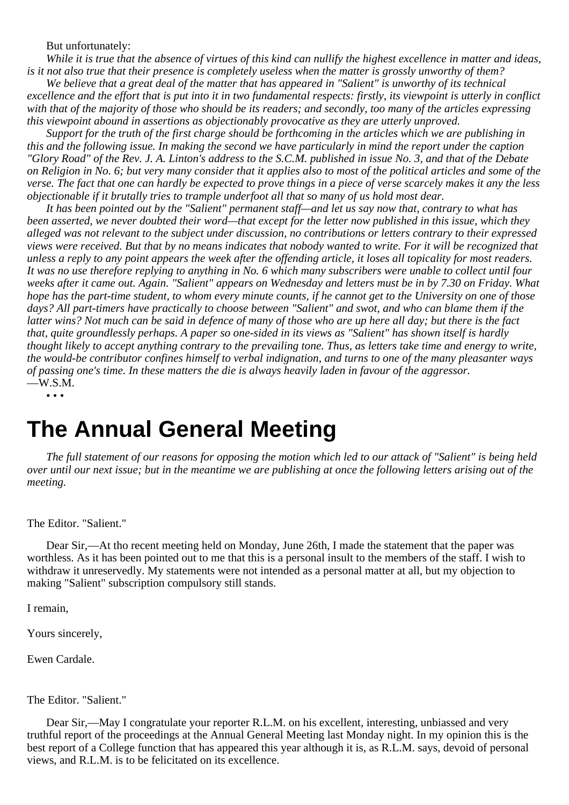#### But unfortunately:

*While it is true that the absence of virtues of this kind can nullify the highest excellence in matter and ideas, is it not also true that their presence is completely useless when the matter is grossly unworthy of them?*

*We believe that a great deal of the matter that has appeared in "Salient" is unworthy of its technical excellence and the effort that is put into it in two fundamental respects: firstly, its viewpoint is utterly in conflict with that of the majority of those who should be its readers; and secondly, too many of the articles expressing this viewpoint abound in assertions as objectionably provocative as they are utterly unproved.*

*Support for the truth of the first charge should be forthcoming in the articles which we are publishing in this and the following issue. In making the second we have particularly in mind the report under the caption "Glory Road" of the Rev. J. A. Linton's address to the S.C.M. published in issue No. 3, and that of the Debate on Religion in No. 6; but very many consider that it applies also to most of the political articles and some of the verse. The fact that one can hardly be expected to prove things in a piece of verse scarcely makes it any the less objectionable if it brutally tries to trample underfoot all that so many of us hold most dear.*

*It has been pointed out by the "Salient" permanent staff—and let us say now that, contrary to what has been asserted, we never doubted their word—that except for the letter now published in this issue, which they alleged was not relevant to the subject under discussion, no contributions or letters contrary to their expressed views were received. But that by no means indicates that nobody wanted to write. For it will be recognized that unless a reply to any point appears the week after the offending article, it loses all topicality for most readers. It was no use therefore replying to anything in No. 6 which many subscribers were unable to collect until four weeks after it came out. Again. "Salient" appears on Wednesday and letters must be in by 7.30 on Friday. What hope has the part-time student, to whom every minute counts, if he cannot get to the University on one of those days? All part-timers have practically to choose between "Salient" and swot, and who can blame them if the latter wins? Not much can be said in defence of many of those who are up here all day; but there is the fact that, quite groundlessly perhaps. A paper so one-sided in its views as "Salient" has shown itself is hardly thought likely to accept anything contrary to the prevailing tone. Thus, as letters take time and energy to write, the would-be contributor confines himself to verbal indignation, and turns to one of the many pleasanter ways of passing one's time. In these matters the die is always heavily laden in favour of the aggressor.*  $-W.S.M.$ 

• • •

# **The Annual General Meeting**

*The full statement of our reasons for opposing the motion which led to our attack of "Salient" is being held over until our next issue; but in the meantime we are publishing at once the following letters arising out of the meeting.*

#### The Editor. "Salient."

Dear Sir,—At tho recent meeting held on Monday, June 26th, I made the statement that the paper was worthless. As it has been pointed out to me that this is a personal insult to the members of the staff. I wish to withdraw it unreservedly. My statements were not intended as a personal matter at all, but my objection to making "Salient" subscription compulsory still stands.

I remain,

Yours sincerely,

Ewen Cardale.

#### The Editor. "Salient."

Dear Sir,—May I congratulate your reporter R.L.M. on his excellent, interesting, unbiassed and very truthful report of the proceedings at the Annual General Meeting last Monday night. In my opinion this is the best report of a College function that has appeared this year although it is, as R.L.M. says, devoid of personal views, and R.L.M. is to be felicitated on its excellence.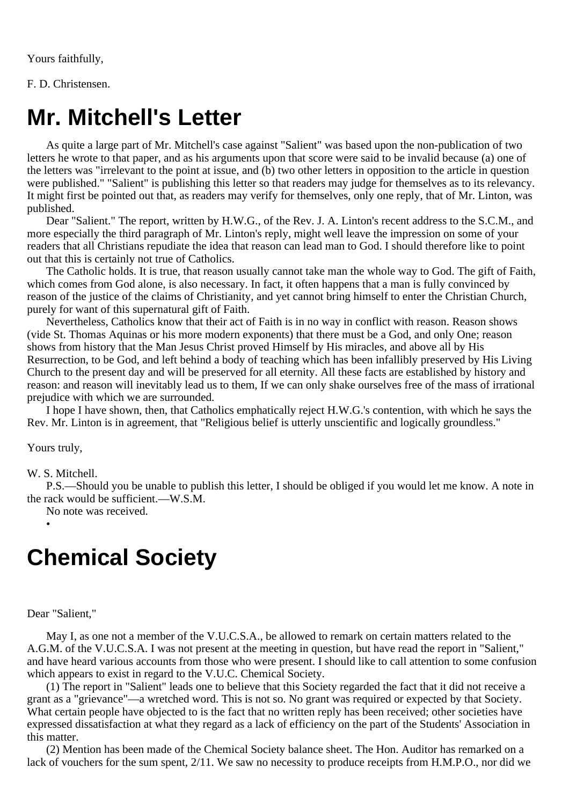Yours faithfully,

F. D. Christensen.

# **Mr. Mitchell's Letter**

As quite a large part of Mr. Mitchell's case against "Salient" was based upon the non-publication of two letters he wrote to that paper, and as his arguments upon that score were said to be invalid because (a) one of the letters was "irrelevant to the point at issue, and (b) two other letters in opposition to the article in question were published." "Salient" is publishing this letter so that readers may judge for themselves as to its relevancy. It might first be pointed out that, as readers may verify for themselves, only one reply, that of Mr. Linton, was published.

Dear "Salient." The report, written by H.W.G., of the Rev. J. A. Linton's recent address to the S.C.M., and more especially the third paragraph of Mr. Linton's reply, might well leave the impression on some of your readers that all Christians repudiate the idea that reason can lead man to God. I should therefore like to point out that this is certainly not true of Catholics.

The Catholic holds. It is true, that reason usually cannot take man the whole way to God. The gift of Faith, which comes from God alone, is also necessary. In fact, it often happens that a man is fully convinced by reason of the justice of the claims of Christianity, and yet cannot bring himself to enter the Christian Church, purely for want of this supernatural gift of Faith.

Nevertheless, Catholics know that their act of Faith is in no way in conflict with reason. Reason shows (vide St. Thomas Aquinas or his more modern exponents) that there must be a God, and only One; reason shows from history that the Man Jesus Christ proved Himself by His miracles, and above all by His Resurrection, to be God, and left behind a body of teaching which has been infallibly preserved by His Living Church to the present day and will be preserved for all eternity. All these facts are established by history and reason: and reason will inevitably lead us to them, If we can only shake ourselves free of the mass of irrational prejudice with which we are surrounded.

I hope I have shown, then, that Catholics emphatically reject H.W.G.'s contention, with which he says the Rev. Mr. Linton is in agreement, that "Religious belief is utterly unscientific and logically groundless."

Yours truly,

•

W. S. Mitchell.

P.S.—Should you be unable to publish this letter, I should be obliged if you would let me know. A note in the rack would be sufficient.—W.S.M.

No note was received.

# **Chemical Society**

Dear "Salient,"

May I, as one not a member of the V.U.C.S.A., be allowed to remark on certain matters related to the A.G.M. of the V.U.C.S.A. I was not present at the meeting in question, but have read the report in "Salient," and have heard various accounts from those who were present. I should like to call attention to some confusion which appears to exist in regard to the V.U.C. Chemical Society.

(1) The report in "Salient" leads one to believe that this Society regarded the fact that it did not receive a grant as a "grievance"—a wretched word. This is not so. No grant was required or expected by that Society. What certain people have objected to is the fact that no written reply has been received; other societies have expressed dissatisfaction at what they regard as a lack of efficiency on the part of the Students' Association in this matter.

(2) Mention has been made of the Chemical Society balance sheet. The Hon. Auditor has remarked on a lack of vouchers for the sum spent, 2/11. We saw no necessity to produce receipts from H.M.P.O., nor did we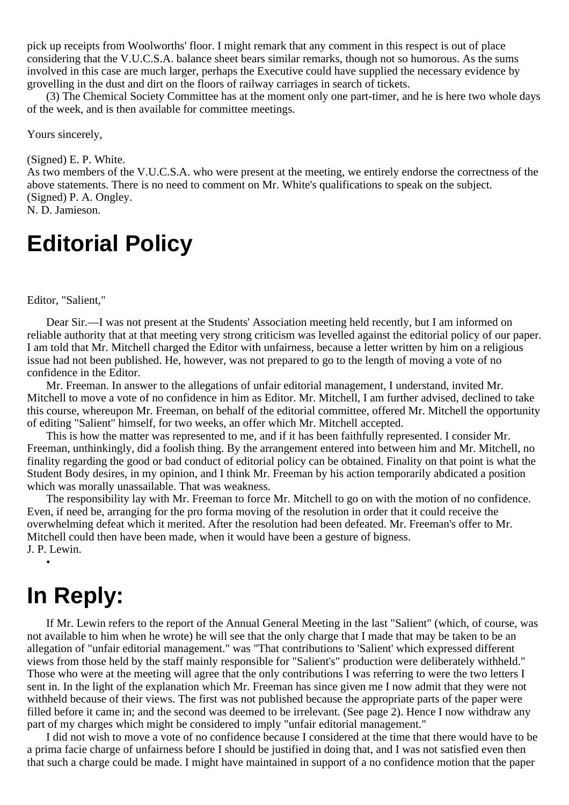pick up receipts from Woolworths' floor. I might remark that any comment in this respect is out of place considering that the V.U.C.S.A. balance sheet bears similar remarks, though not so humorous. As the sums involved in this case are much larger, perhaps the Executive could have supplied the necessary evidence by grovelling in the dust and dirt on the floors of railway carriages in search of tickets.

(3) The Chemical Society Committee has at the moment only one part-timer, and he is here two whole days of the week, and is then available for committee meetings.

Yours sincerely,

(Signed) E. P. White.

As two members of the V.U.C.S.A. who were present at the meeting, we entirely endorse the correctness of the above statements. There is no need to comment on Mr. White's qualifications to speak on the subject. (Signed) P. A. Ongley. N. D. Jamieson.

# **Editorial Policy**

Editor, "Salient,"

Dear Sir.—I was not present at the Students' Association meeting held recently, but I am informed on reliable authority that at that meeting very strong criticism was levelled against the editorial policy of our paper. I am told that Mr. Mitchell charged the Editor with unfairness, because a letter written by him on a religious issue had not been published. He, however, was not prepared to go to the length of moving a vote of no confidence in the Editor.

Mr. Freeman. In answer to the allegations of unfair editorial management, I understand, invited Mr. Mitchell to move a vote of no confidence in him as Editor. Mr. Mitchell, I am further advised, declined to take this course, whereupon Mr. Freeman, on behalf of the editorial committee, offered Mr. Mitchell the opportunity of editing "Salient" himself, for two weeks, an offer which Mr. Mitchell accepted.

This is how the matter was represented to me, and if it has been faithfully represented. I consider Mr. Freeman, unthinkingly, did a foolish thing. By the arrangement entered into between him and Mr. Mitchell, no finality regarding the good or bad conduct of editorial policy can be obtained. Finality on that point is what the Student Body desires, in my opinion, and I think Mr. Freeman by his action temporarily abdicated a position which was morally unassailable. That was weakness.

The responsibility lay with Mr. Freeman to force Mr. Mitchell to go on with the motion of no confidence. Even, if need be, arranging for the pro forma moving of the resolution in order that it could receive the overwhelming defeat which it merited. After the resolution had been defeated. Mr. Freeman's offer to Mr. Mitchell could then have been made, when it would have been a gesture of bigness. J. P. Lewin.

# **In Reply:**

•

If Mr. Lewin refers to the report of the Annual General Meeting in the last "Salient" (which, of course, was not available to him when he wrote) he will see that the only charge that I made that may be taken to be an allegation of "unfair editorial management." was "That contributions to 'Salient' which expressed different views from those held by the staff mainly responsible for "Salient's" production were deliberately withheld." Those who were at the meeting will agree that the only contributions I was referring to were the two letters I sent in. In the light of the explanation which Mr. Freeman has since given me I now admit that they were not withheld because of their views. The first was not published because the appropriate parts of the paper were filled before it came in; and the second was deemed to be irrelevant. (See page 2). Hence I now withdraw any part of my charges which might be considered to imply "unfair editorial management."

I did not wish to move a vote of no confidence because I considered at the time that there would have to be a prima facie charge of unfairness before I should be justified in doing that, and I was not satisfied even then that such a charge could be made. I might have maintained in support of a no confidence motion that the paper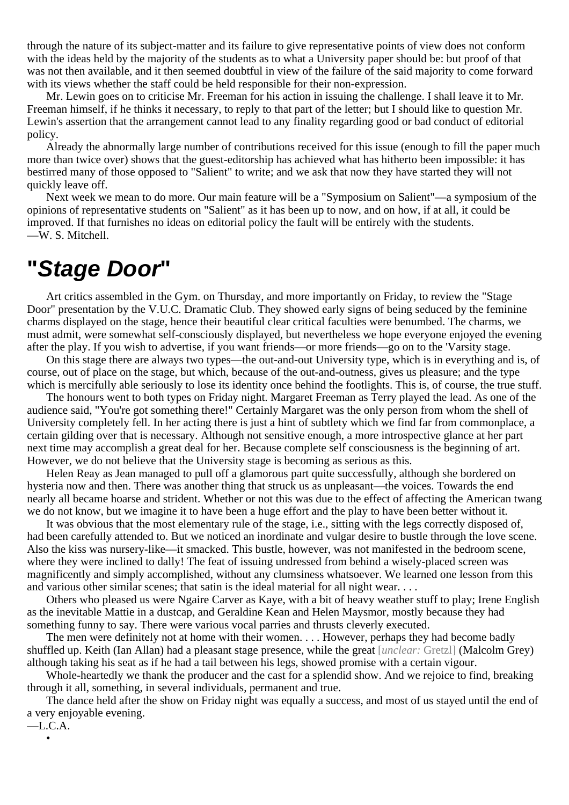through the nature of its subject-matter and its failure to give representative points of view does not conform with the ideas held by the majority of the students as to what a University paper should be: but proof of that was not then available, and it then seemed doubtful in view of the failure of the said majority to come forward with its views whether the staff could be held responsible for their non-expression.

Mr. Lewin goes on to criticise Mr. Freeman for his action in issuing the challenge. I shall leave it to Mr. Freeman himself, if he thinks it necessary, to reply to that part of the letter; but I should like to question Mr. Lewin's assertion that the arrangement cannot lead to any finality regarding good or bad conduct of editorial policy.

Already the abnormally large number of contributions received for this issue (enough to fill the paper much more than twice over) shows that the guest-editorship has achieved what has hitherto been impossible: it has bestirred many of those opposed to "Salient" to write; and we ask that now they have started they will not quickly leave off.

Next week we mean to do more. Our main feature will be a "Symposium on Salient"—a symposium of the opinions of representative students on "Salient" as it has been up to now, and on how, if at all, it could be improved. If that furnishes no ideas on editorial policy the fault will be entirely with the students. —W. S. Mitchell.

# **"Stage Door"**

Art critics assembled in the Gym. on Thursday, and more importantly on Friday, to review the "Stage Door" presentation by the V.U.C. Dramatic Club. They showed early signs of being seduced by the feminine charms displayed on the stage, hence their beautiful clear critical faculties were benumbed. The charms, we must admit, were somewhat self-consciously displayed, but nevertheless we hope everyone enjoyed the evening after the play. If you wish to advertise, if you want friends—or more friends—go on to the 'Varsity stage.

On this stage there are always two types—the out-and-out University type, which is in everything and is, of course, out of place on the stage, but which, because of the out-and-outness, gives us pleasure; and the type which is mercifully able seriously to lose its identity once behind the footlights. This is, of course, the true stuff.

The honours went to both types on Friday night. Margaret Freeman as Terry played the lead. As one of the audience said, "You're got something there!" Certainly Margaret was the only person from whom the shell of University completely fell. In her acting there is just a hint of subtlety which we find far from commonplace, a certain gilding over that is necessary. Although not sensitive enough, a more introspective glance at her part next time may accomplish a great deal for her. Because complete self consciousness is the beginning of art. However, we do not believe that the University stage is becoming as serious as this.

Helen Reay as Jean managed to pull off a glamorous part quite successfully, although she bordered on hysteria now and then. There was another thing that struck us as unpleasant—the voices. Towards the end nearly all became hoarse and strident. Whether or not this was due to the effect of affecting the American twang we do not know, but we imagine it to have been a huge effort and the play to have been better without it.

It was obvious that the most elementary rule of the stage, i.e., sitting with the legs correctly disposed of, had been carefully attended to. But we noticed an inordinate and vulgar desire to bustle through the love scene. Also the kiss was nursery-like—it smacked. This bustle, however, was not manifested in the bedroom scene, where they were inclined to dally! The feat of issuing undressed from behind a wisely-placed screen was magnificently and simply accomplished, without any clumsiness whatsoever. We learned one lesson from this and various other similar scenes; that satin is the ideal material for all night wear. . . .

Others who pleased us were Ngaire Carver as Kaye, with a bit of heavy weather stuff to play; Irene English as the inevitable Mattie in a dustcap, and Geraldine Kean and Helen Maysmor, mostly because they had something funny to say. There were various vocal parries and thrusts cleverly executed.

The men were definitely not at home with their women. . . . However, perhaps they had become badly shuffled up. Keith (Ian Allan) had a pleasant stage presence, while the great [*unclear:* Gretzl] (Malcolm Grey) although taking his seat as if he had a tail between his legs, showed promise with a certain vigour.

Whole-heartedly we thank the producer and the cast for a splendid show. And we rejoice to find, breaking through it all, something, in several individuals, permanent and true.

The dance held after the show on Friday night was equally a success, and most of us stayed until the end of a very enjoyable evening.

—L.C.A. •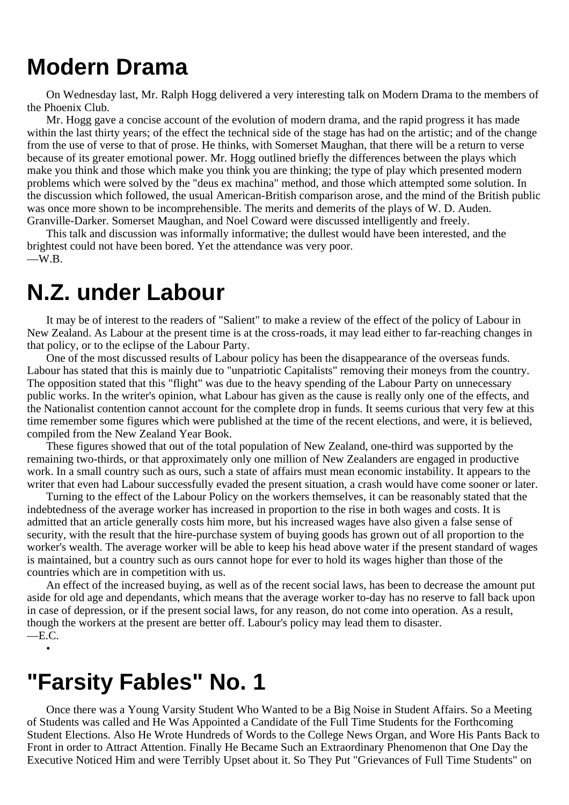# **Modern Drama**

On Wednesday last, Mr. Ralph Hogg delivered a very interesting talk on Modern Drama to the members of the Phoenix Club.

Mr. Hogg gave a concise account of the evolution of modern drama, and the rapid progress it has made within the last thirty years; of the effect the technical side of the stage has had on the artistic; and of the change from the use of verse to that of prose. He thinks, with Somerset Maughan, that there will be a return to verse because of its greater emotional power. Mr. Hogg outlined briefly the differences between the plays which make you think and those which make you think you are thinking; the type of play which presented modern problems which were solved by the "deus ex machina" method, and those which attempted some solution. In the discussion which followed, the usual American-British comparison arose, and the mind of the British public was once more shown to be incomprehensible. The merits and demerits of the plays of W. D. Auden. Granville-Darker. Somerset Maughan, and Noel Coward were discussed intelligently and freely.

This talk and discussion was informally informative; the dullest would have been interested, and the brightest could not have been bored. Yet the attendance was very poor.  $\equiv$ W.B.

# **N.Z. under Labour**

It may be of interest to the readers of "Salient" to make a review of the effect of the policy of Labour in New Zealand. As Labour at the present time is at the cross-roads, it may lead either to far-reaching changes in that policy, or to the eclipse of the Labour Party.

One of the most discussed results of Labour policy has been the disappearance of the overseas funds. Labour has stated that this is mainly due to "unpatriotic Capitalists" removing their moneys from the country. The opposition stated that this "flight" was due to the heavy spending of the Labour Party on unnecessary public works. In the writer's opinion, what Labour has given as the cause is really only one of the effects, and the Nationalist contention cannot account for the complete drop in funds. It seems curious that very few at this time remember some figures which were published at the time of the recent elections, and were, it is believed, compiled from the New Zealand Year Book.

These figures showed that out of the total population of New Zealand, one-third was supported by the remaining two-thirds, or that approximately only one million of New Zealanders are engaged in productive work. In a small country such as ours, such a state of affairs must mean economic instability. It appears to the writer that even had Labour successfully evaded the present situation, a crash would have come sooner or later.

Turning to the effect of the Labour Policy on the workers themselves, it can be reasonably stated that the indebtedness of the average worker has increased in proportion to the rise in both wages and costs. It is admitted that an article generally costs him more, but his increased wages have also given a false sense of security, with the result that the hire-purchase system of buying goods has grown out of all proportion to the worker's wealth. The average worker will be able to keep his head above water if the present standard of wages is maintained, but a country such as ours cannot hope for ever to hold its wages higher than those of the countries which are in competition with us.

An effect of the increased buying, as well as of the recent social laws, has been to decrease the amount put aside for old age and dependants, which means that the average worker to-day has no reserve to fall back upon in case of depression, or if the present social laws, for any reason, do not come into operation. As a result, though the workers at the present are better off. Labour's policy may lead them to disaster.  $-EC$ 

•

# **"Farsity Fables" No. 1**

Once there was a Young Varsity Student Who Wanted to be a Big Noise in Student Affairs. So a Meeting of Students was called and He Was Appointed a Candidate of the Full Time Students for the Forthcoming Student Elections. Also He Wrote Hundreds of Words to the College News Organ, and Wore His Pants Back to Front in order to Attract Attention. Finally He Became Such an Extraordinary Phenomenon that One Day the Executive Noticed Him and were Terribly Upset about it. So They Put "Grievances of Full Time Students" on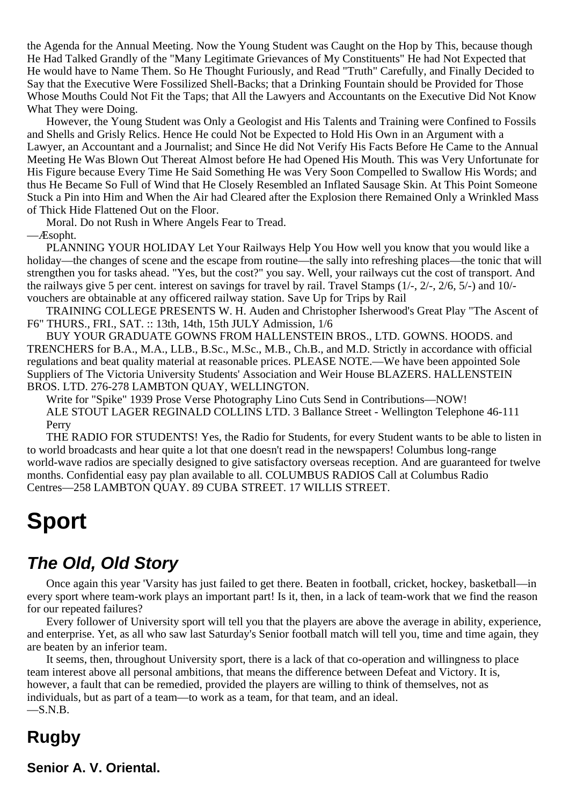the Agenda for the Annual Meeting. Now the Young Student was Caught on the Hop by This, because though He Had Talked Grandly of the "Many Legitimate Grievances of My Constituents" He had Not Expected that He would have to Name Them. So He Thought Furiously, and Read "Truth" Carefully, and Finally Decided to Say that the Executive Were Fossilized Shell-Backs; that a Drinking Fountain should be Provided for Those Whose Mouths Could Not Fit the Taps; that All the Lawyers and Accountants on the Executive Did Not Know What They were Doing.

However, the Young Student was Only a Geologist and His Talents and Training were Confined to Fossils and Shells and Grisly Relics. Hence He could Not be Expected to Hold His Own in an Argument with a Lawyer, an Accountant and a Journalist; and Since He did Not Verify His Facts Before He Came to the Annual Meeting He Was Blown Out Thereat Almost before He had Opened His Mouth. This was Very Unfortunate for His Figure because Every Time He Said Something He was Very Soon Compelled to Swallow His Words; and thus He Became So Full of Wind that He Closely Resembled an Inflated Sausage Skin. At This Point Someone Stuck a Pin into Him and When the Air had Cleared after the Explosion there Remained Only a Wrinkled Mass of Thick Hide Flattened Out on the Floor.

Moral. Do not Rush in Where Angels Fear to Tread.

—Æsopht.

PLANNING YOUR HOLIDAY Let Your Railways Help You How well you know that you would like a holiday—the changes of scene and the escape from routine—the sally into refreshing places—the tonic that will strengthen you for tasks ahead. "Yes, but the cost?" you say. Well, your railways cut the cost of transport. And the railways give 5 per cent. interest on savings for travel by rail. Travel Stamps (1/-, 2/-, 2/6, 5/-) and 10/ vouchers are obtainable at any officered railway station. Save Up for Trips by Rail

TRAINING COLLEGE PRESENTS W. H. Auden and Christopher Isherwood's Great Play "The Ascent of F6" THURS., FRI., SAT. :: 13th, 14th, 15th JULY Admission, 1/6

BUY YOUR GRADUATE GOWNS FROM HALLENSTEIN BROS., LTD. GOWNS. HOODS. and TRENCHERS for B.A., M.A., LLB., B.Sc., M.Sc., M.B., Ch.B., and M.D. Strictly in accordance with official regulations and beat quality material at reasonable prices. PLEASE NOTE.—We have been appointed Sole Suppliers of The Victoria University Students' Association and Weir House BLAZERS. HALLENSTEIN BROS. LTD. 276-278 LAMBTON QUAY, WELLINGTON.

Write for "Spike" 1939 Prose Verse Photography Lino Cuts Send in Contributions—NOW! ALE STOUT LAGER REGINALD COLLINS LTD. 3 Ballance Street - Wellington Telephone 46-111 Perry

THE RADIO FOR STUDENTS! Yes, the Radio for Students, for every Student wants to be able to listen in to world broadcasts and hear quite a lot that one doesn't read in the newspapers! Columbus long-range world-wave radios are specially designed to give satisfactory overseas reception. And are guaranteed for twelve months. Confidential easy pay plan available to all. COLUMBUS RADIOS Call at Columbus Radio Centres—258 LAMBTON QUAY. 89 CUBA STREET. 17 WILLIS STREET.

# **Sport**

## **The Old, Old Story**

Once again this year 'Varsity has just failed to get there. Beaten in football, cricket, hockey, basketball—in every sport where team-work plays an important part! Is it, then, in a lack of team-work that we find the reason for our repeated failures?

Every follower of University sport will tell you that the players are above the average in ability, experience, and enterprise. Yet, as all who saw last Saturday's Senior football match will tell you, time and time again, they are beaten by an inferior team.

It seems, then, throughout University sport, there is a lack of that co-operation and willingness to place team interest above all personal ambitions, that means the difference between Defeat and Victory. It is, however, a fault that can be remedied, provided the players are willing to think of themselves, not as individuals, but as part of a team—to work as a team, for that team, and an ideal.  $-S.N.B.$ 

## **Rugby**

**Senior A. V. Oriental.**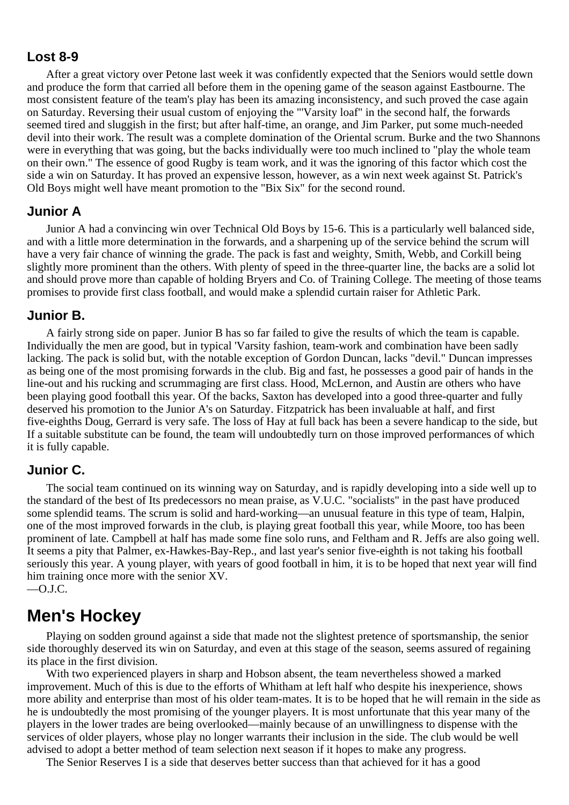#### **Lost 8-9**

After a great victory over Petone last week it was confidently expected that the Seniors would settle down and produce the form that carried all before them in the opening game of the season against Eastbourne. The most consistent feature of the team's play has been its amazing inconsistency, and such proved the case again on Saturday. Reversing their usual custom of enjoying the "'Varsity loaf" in the second half, the forwards seemed tired and sluggish in the first; but after half-time, an orange, and Jim Parker, put some much-needed devil into their work. The result was a complete domination of the Oriental scrum. Burke and the two Shannons were in everything that was going, but the backs individually were too much inclined to "play the whole team on their own." The essence of good Rugby is team work, and it was the ignoring of this factor which cost the side a win on Saturday. It has proved an expensive lesson, however, as a win next week against St. Patrick's Old Boys might well have meant promotion to the "Bix Six" for the second round.

#### **Junior A**

Junior A had a convincing win over Technical Old Boys by 15-6. This is a particularly well balanced side, and with a little more determination in the forwards, and a sharpening up of the service behind the scrum will have a very fair chance of winning the grade. The pack is fast and weighty, Smith, Webb, and Corkill being slightly more prominent than the others. With plenty of speed in the three-quarter line, the backs are a solid lot and should prove more than capable of holding Bryers and Co. of Training College. The meeting of those teams promises to provide first class football, and would make a splendid curtain raiser for Athletic Park.

#### **Junior B.**

A fairly strong side on paper. Junior B has so far failed to give the results of which the team is capable. Individually the men are good, but in typical 'Varsity fashion, team-work and combination have been sadly lacking. The pack is solid but, with the notable exception of Gordon Duncan, lacks "devil." Duncan impresses as being one of the most promising forwards in the club. Big and fast, he possesses a good pair of hands in the line-out and his rucking and scrummaging are first class. Hood, McLernon, and Austin are others who have been playing good football this year. Of the backs, Saxton has developed into a good three-quarter and fully deserved his promotion to the Junior A's on Saturday. Fitzpatrick has been invaluable at half, and first five-eighths Doug, Gerrard is very safe. The loss of Hay at full back has been a severe handicap to the side, but If a suitable substitute can be found, the team will undoubtedly turn on those improved performances of which it is fully capable.

#### **Junior C.**

The social team continued on its winning way on Saturday, and is rapidly developing into a side well up to the standard of the best of Its predecessors no mean praise, as V.U.C. "socialists" in the past have produced some splendid teams. The scrum is solid and hard-working—an unusual feature in this type of team, Halpin, one of the most improved forwards in the club, is playing great football this year, while Moore, too has been prominent of late. Campbell at half has made some fine solo runs, and Feltham and R. Jeffs are also going well. It seems a pity that Palmer, ex-Hawkes-Bay-Rep., and last year's senior five-eighth is not taking his football seriously this year. A young player, with years of good football in him, it is to be hoped that next year will find him training once more with the senior XV. —O.J.C.

#### **Men's Hockey**

Playing on sodden ground against a side that made not the slightest pretence of sportsmanship, the senior side thoroughly deserved its win on Saturday, and even at this stage of the season, seems assured of regaining its place in the first division.

With two experienced players in sharp and Hobson absent, the team nevertheless showed a marked improvement. Much of this is due to the efforts of Whitham at left half who despite his inexperience, shows more ability and enterprise than most of his older team-mates. It is to be hoped that he will remain in the side as he is undoubtedly the most promising of the younger players. It is most unfortunate that this year many of the players in the lower trades are being overlooked—mainly because of an unwillingness to dispense with the services of older players, whose play no longer warrants their inclusion in the side. The club would be well advised to adopt a better method of team selection next season if it hopes to make any progress.

The Senior Reserves I is a side that deserves better success than that achieved for it has a good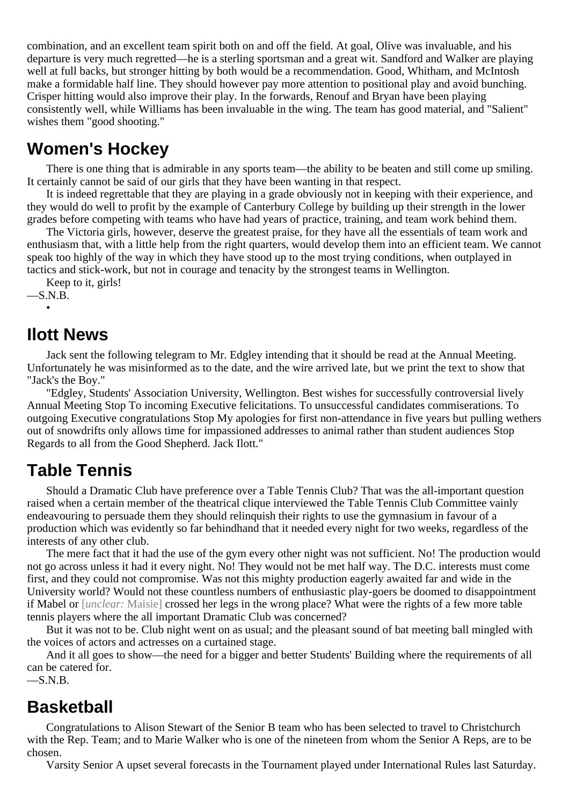combination, and an excellent team spirit both on and off the field. At goal, Olive was invaluable, and his departure is very much regretted—he is a sterling sportsman and a great wit. Sandford and Walker are playing well at full backs, but stronger hitting by both would be a recommendation. Good, Whitham, and McIntosh make a formidable half line. They should however pay more attention to positional play and avoid bunching. Crisper hitting would also improve their play. In the forwards, Renouf and Bryan have been playing consistently well, while Williams has been invaluable in the wing. The team has good material, and "Salient" wishes them "good shooting."

## **Women's Hockey**

There is one thing that is admirable in any sports team—the ability to be beaten and still come up smiling. It certainly cannot be said of our girls that they have been wanting in that respect.

It is indeed regrettable that they are playing in a grade obviously not in keeping with their experience, and they would do well to profit by the example of Canterbury College by building up their strength in the lower grades before competing with teams who have had years of practice, training, and team work behind them.

The Victoria girls, however, deserve the greatest praise, for they have all the essentials of team work and enthusiasm that, with a little help from the right quarters, would develop them into an efficient team. We cannot speak too highly of the way in which they have stood up to the most trying conditions, when outplayed in tactics and stick-work, but not in courage and tenacity by the strongest teams in Wellington.

Keep to it, girls!

 $-S.N.B.$ •

### **Ilott News**

Jack sent the following telegram to Mr. Edgley intending that it should be read at the Annual Meeting. Unfortunately he was misinformed as to the date, and the wire arrived late, but we print the text to show that "Jack's the Boy."

"Edgley, Students' Association University, Wellington. Best wishes for successfully controversial lively Annual Meeting Stop To incoming Executive felicitations. To unsuccessful candidates commiserations. To outgoing Executive congratulations Stop My apologies for first non-attendance in five years but pulling wethers out of snowdrifts only allows time for impassioned addresses to animal rather than student audiences Stop Regards to all from the Good Shepherd. Jack Ilott."

## **Table Tennis**

Should a Dramatic Club have preference over a Table Tennis Club? That was the all-important question raised when a certain member of the theatrical clique interviewed the Table Tennis Club Committee vainly endeavouring to persuade them they should relinquish their rights to use the gymnasium in favour of a production which was evidently so far behindhand that it needed every night for two weeks, regardless of the interests of any other club.

The mere fact that it had the use of the gym every other night was not sufficient. No! The production would not go across unless it had it every night. No! They would not be met half way. The D.C. interests must come first, and they could not compromise. Was not this mighty production eagerly awaited far and wide in the University world? Would not these countless numbers of enthusiastic play-goers be doomed to disappointment if Mabel or [*unclear:* Maisie] crossed her legs in the wrong place? What were the rights of a few more table tennis players where the all important Dramatic Club was concerned?

But it was not to be. Club night went on as usual; and the pleasant sound of bat meeting ball mingled with the voices of actors and actresses on a curtained stage.

And it all goes to show—the need for a bigger and better Students' Building where the requirements of all can be catered for.

 $-S.N.B.$ 

## **Basketball**

Congratulations to Alison Stewart of the Senior B team who has been selected to travel to Christchurch with the Rep. Team; and to Marie Walker who is one of the nineteen from whom the Senior A Reps, are to be chosen.

Varsity Senior A upset several forecasts in the Tournament played under International Rules last Saturday.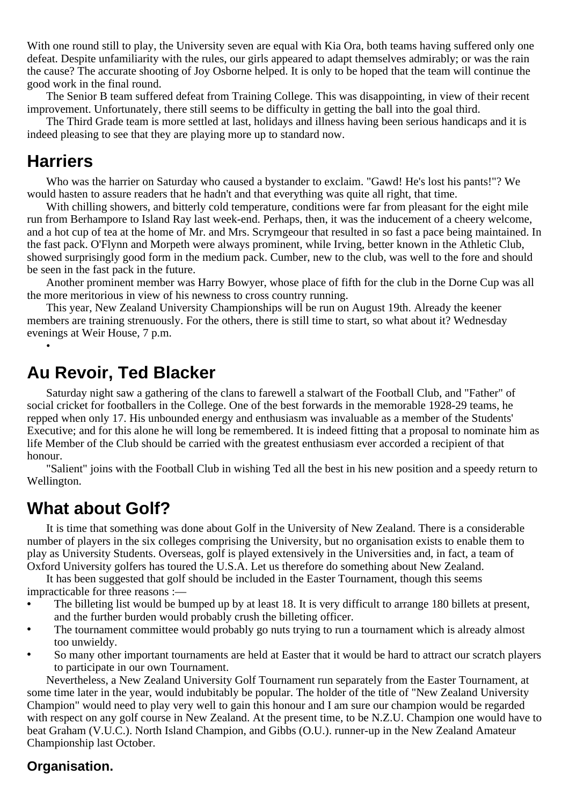With one round still to play, the University seven are equal with Kia Ora, both teams having suffered only one defeat. Despite unfamiliarity with the rules, our girls appeared to adapt themselves admirably; or was the rain the cause? The accurate shooting of Joy Osborne helped. It is only to be hoped that the team will continue the good work in the final round.

The Senior B team suffered defeat from Training College. This was disappointing, in view of their recent improvement. Unfortunately, there still seems to be difficulty in getting the ball into the goal third.

The Third Grade team is more settled at last, holidays and illness having been serious handicaps and it is indeed pleasing to see that they are playing more up to standard now.

### **Harriers**

•

Who was the harrier on Saturday who caused a bystander to exclaim. "Gawd! He's lost his pants!"? We would hasten to assure readers that he hadn't and that everything was quite all right, that time.

With chilling showers, and bitterly cold temperature, conditions were far from pleasant for the eight mile run from Berhampore to Island Ray last week-end. Perhaps, then, it was the inducement of a cheery welcome, and a hot cup of tea at the home of Mr. and Mrs. Scrymgeour that resulted in so fast a pace being maintained. In the fast pack. O'Flynn and Morpeth were always prominent, while Irving, better known in the Athletic Club, showed surprisingly good form in the medium pack. Cumber, new to the club, was well to the fore and should be seen in the fast pack in the future.

Another prominent member was Harry Bowyer, whose place of fifth for the club in the Dorne Cup was all the more meritorious in view of his newness to cross country running.

This year, New Zealand University Championships will be run on August 19th. Already the keener members are training strenuously. For the others, there is still time to start, so what about it? Wednesday evenings at Weir House, 7 p.m.

## **Au Revoir, Ted Blacker**

Saturday night saw a gathering of the clans to farewell a stalwart of the Football Club, and "Father" of social cricket for footballers in the College. One of the best forwards in the memorable 1928-29 teams, he repped when only 17. His unbounded energy and enthusiasm was invaluable as a member of the Students' Executive; and for this alone he will long be remembered. It is indeed fitting that a proposal to nominate him as life Member of the Club should be carried with the greatest enthusiasm ever accorded a recipient of that honour.

"Salient" joins with the Football Club in wishing Ted all the best in his new position and a speedy return to Wellington.

## **What about Golf?**

It is time that something was done about Golf in the University of New Zealand. There is a considerable number of players in the six colleges comprising the University, but no organisation exists to enable them to play as University Students. Overseas, golf is played extensively in the Universities and, in fact, a team of Oxford University golfers has toured the U.S.A. Let us therefore do something about New Zealand.

It has been suggested that golf should be included in the Easter Tournament, though this seems impracticable for three reasons :—

- **•** The billeting list would be bumped up by at least 18. It is very difficult to arrange 180 billets at present, and the further burden would probably crush the billeting officer.
- The tournament committee would probably go nuts trying to run a tournament which is already almost too unwieldy.
- **•** So many other important tournaments are held at Easter that it would be hard to attract our scratch players to participate in our own Tournament.

Nevertheless, a New Zealand University Golf Tournament run separately from the Easter Tournament, at some time later in the year, would indubitably be popular. The holder of the title of "New Zealand University Champion" would need to play very well to gain this honour and I am sure our champion would be regarded with respect on any golf course in New Zealand. At the present time, to be N.Z.U. Champion one would have to beat Graham (V.U.C.). North Island Champion, and Gibbs (O.U.). runner-up in the New Zealand Amateur Championship last October.

#### **Organisation.**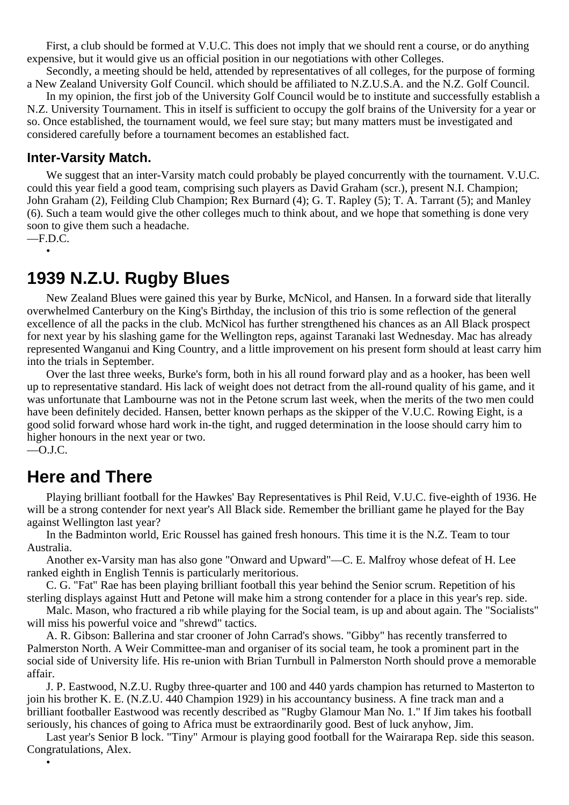First, a club should be formed at V.U.C. This does not imply that we should rent a course, or do anything expensive, but it would give us an official position in our negotiations with other Colleges.

Secondly, a meeting should be held, attended by representatives of all colleges, for the purpose of forming a New Zealand University Golf Council. which should be affiliated to N.Z.U.S.A. and the N.Z. Golf Council.

In my opinion, the first job of the University Golf Council would be to institute and successfully establish a N.Z. University Tournament. This in itself is sufficient to occupy the golf brains of the University for a year or so. Once established, the tournament would, we feel sure stay; but many matters must be investigated and considered carefully before a tournament becomes an established fact.

#### **Inter-Varsity Match.**

We suggest that an inter-Varsity match could probably be played concurrently with the tournament. V.U.C. could this year field a good team, comprising such players as David Graham (scr.), present N.I. Champion; John Graham (2), Feilding Club Champion; Rex Burnard (4); G. T. Rapley (5); T. A. Tarrant (5); and Manley (6). Such a team would give the other colleges much to think about, and we hope that something is done very soon to give them such a headache.  $-F.D.C.$ 

•

### **1939 N.Z.U. Rugby Blues**

New Zealand Blues were gained this year by Burke, McNicol, and Hansen. In a forward side that literally overwhelmed Canterbury on the King's Birthday, the inclusion of this trio is some reflection of the general excellence of all the packs in the club. McNicol has further strengthened his chances as an All Black prospect for next year by his slashing game for the Wellington reps, against Taranaki last Wednesday. Mac has already represented Wanganui and King Country, and a little improvement on his present form should at least carry him into the trials in September.

Over the last three weeks, Burke's form, both in his all round forward play and as a hooker, has been well up to representative standard. His lack of weight does not detract from the all-round quality of his game, and it was unfortunate that Lambourne was not in the Petone scrum last week, when the merits of the two men could have been definitely decided. Hansen, better known perhaps as the skipper of the V.U.C. Rowing Eight, is a good solid forward whose hard work in-the tight, and rugged determination in the loose should carry him to higher honours in the next year or two.  $-$ O.J.C.

### **Here and There**

•

Playing brilliant football for the Hawkes' Bay Representatives is Phil Reid, V.U.C. five-eighth of 1936. He will be a strong contender for next year's All Black side. Remember the brilliant game he played for the Bay against Wellington last year?

In the Badminton world, Eric Roussel has gained fresh honours. This time it is the N.Z. Team to tour Australia.

Another ex-Varsity man has also gone "Onward and Upward"—C. E. Malfroy whose defeat of H. Lee ranked eighth in English Tennis is particularly meritorious.

C. G. "Fat" Rae has been playing brilliant football this year behind the Senior scrum. Repetition of his sterling displays against Hutt and Petone will make him a strong contender for a place in this year's rep. side.

Malc. Mason, who fractured a rib while playing for the Social team, is up and about again. The "Socialists" will miss his powerful voice and "shrewd" tactics.

A. R. Gibson: Ballerina and star crooner of John Carrad's shows. "Gibby" has recently transferred to Palmerston North. A Weir Committee-man and organiser of its social team, he took a prominent part in the social side of University life. His re-union with Brian Turnbull in Palmerston North should prove a memorable affair.

J. P. Eastwood, N.Z.U. Rugby three-quarter and 100 and 440 yards champion has returned to Masterton to join his brother K. E. (N.Z.U. 440 Champion 1929) in his accountancy business. A fine track man and a brilliant footballer Eastwood was recently described as "Rugby Glamour Man No. 1." If Jim takes his football seriously, his chances of going to Africa must be extraordinarily good. Best of luck anyhow, Jim.

Last year's Senior B lock. "Tiny" Armour is playing good football for the Wairarapa Rep. side this season. Congratulations, Alex.